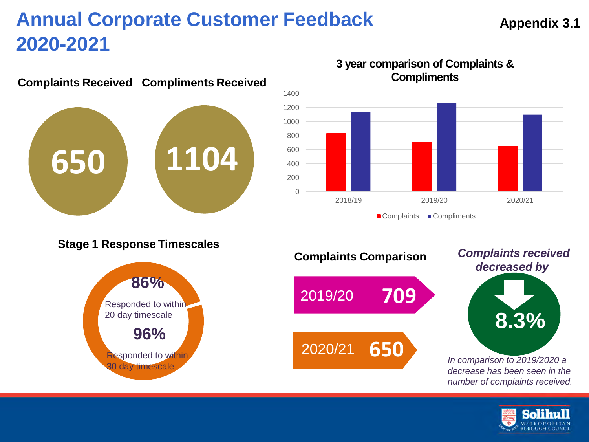# **650 1104**

## **Complaints Received Compliments Received**



## **3 year comparison of Complaints & Compliments**





## **Appendix 3.1**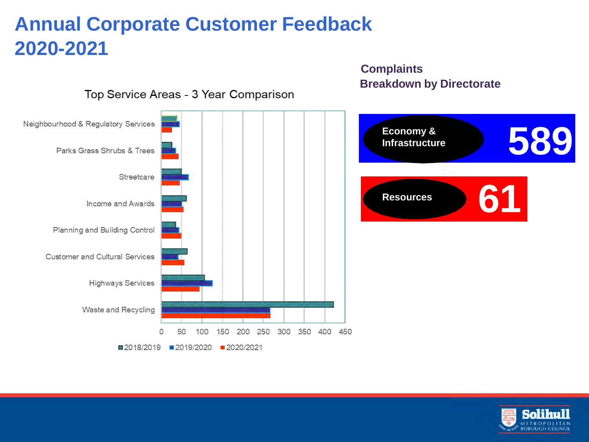#### Neighbourhood & Regulatory Services **Economy & 589 Infrastructure** Parks Grass Shrubs & Trees **Place** Streetcare **61 Resources** Income and Awards Planning and Building Control **Customer and Cultural Services Highways Services** Waste and Recycling 300 350 400 450 200 250 100 150 ■2018/2019 ■2019/2020 ■2020/2021

**Complaints**

**Breakdown by Directorate**

Top Service Areas - 3 Year Comparison

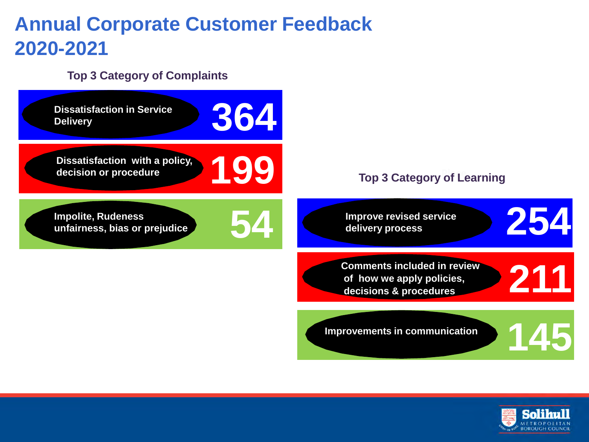## **Top 3 Category of Complaints**



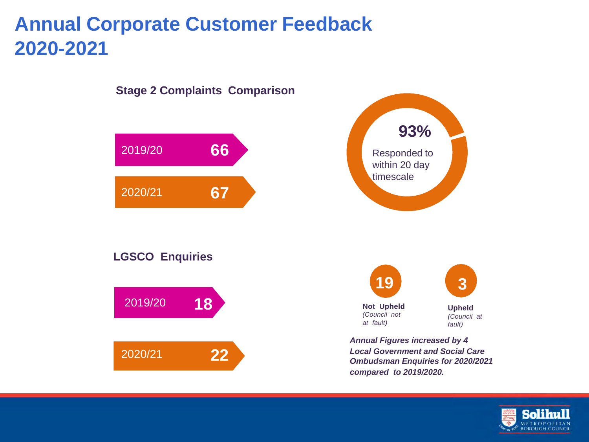